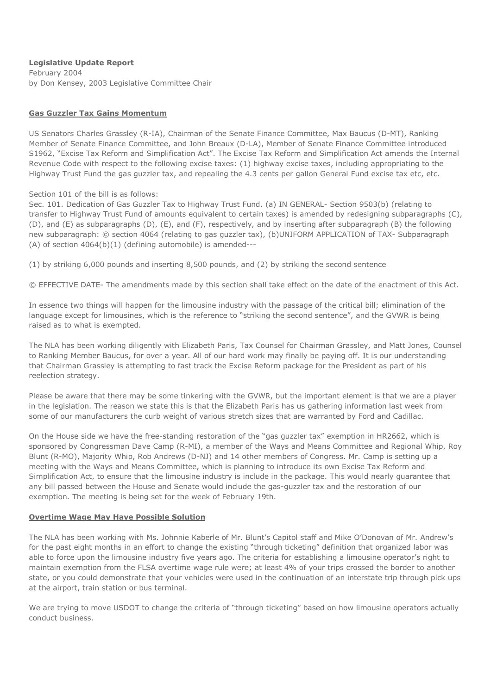**Legislative Update Report** February 2004 by Don Kensey, 2003 Legislative Committee Chair

# **Gas Guzzler Tax Gains Momentum**

US Senators Charles Grassley (R-IA), Chairman of the Senate Finance Committee, Max Baucus (D-MT), Ranking Member of Senate Finance Committee, and John Breaux (D-LA), Member of Senate Finance Committee introduced S1962, "Excise Tax Reform and Simplification Act". The Excise Tax Reform and Simplification Act amends the Internal Revenue Code with respect to the following excise taxes: (1) highway excise taxes, including appropriating to the Highway Trust Fund the gas guzzler tax, and repealing the 4.3 cents per gallon General Fund excise tax etc, etc.

## Section 101 of the bill is as follows:

Sec. 101. Dedication of Gas Guzzler Tax to Highway Trust Fund. (a) IN GENERAL- Section 9503(b) (relating to transfer to Highway Trust Fund of amounts equivalent to certain taxes) is amended by redesigning subparagraphs (C), (D), and (E) as subparagraphs (D), (E), and (F), respectively, and by inserting after subparagraph (B) the following new subparagraph: © section 4064 (relating to gas guzzler tax), (b)UNIFORM APPLICATION of TAX- Subparagraph (A) of section 4064(b)(1) (defining automobile) is amended---

(1) by striking 6,000 pounds and inserting 8,500 pounds, and (2) by striking the second sentence

© EFFECTIVE DATE- The amendments made by this section shall take effect on the date of the enactment of this Act.

In essence two things will happen for the limousine industry with the passage of the critical bill; elimination of the language except for limousines, which is the reference to "striking the second sentence", and the GVWR is being raised as to what is exempted.

The NLA has been working diligently with Elizabeth Paris, Tax Counsel for Chairman Grassley, and Matt Jones, Counsel to Ranking Member Baucus, for over a year. All of our hard work may finally be paying off. It is our understanding that Chairman Grassley is attempting to fast track the Excise Reform package for the President as part of his reelection strategy.

Please be aware that there may be some tinkering with the GVWR, but the important element is that we are a player in the legislation. The reason we state this is that the Elizabeth Paris has us gathering information last week from some of our manufacturers the curb weight of various stretch sizes that are warranted by Ford and Cadillac.

On the House side we have the free-standing restoration of the "gas guzzler tax" exemption in HR2662, which is sponsored by Congressman Dave Camp (R-MI), a member of the Ways and Means Committee and Regional Whip, Roy Blunt (R-MO), Majority Whip, Rob Andrews (D-NJ) and 14 other members of Congress. Mr. Camp is setting up a meeting with the Ways and Means Committee, which is planning to introduce its own Excise Tax Reform and Simplification Act, to ensure that the limousine industry is include in the package. This would nearly guarantee that any bill passed between the House and Senate would include the gas-guzzler tax and the restoration of our exemption. The meeting is being set for the week of February 19th.

## **Overtime Wage May Have Possible Solution**

The NLA has been working with Ms. Johnnie Kaberle of Mr. Blunt's Capitol staff and Mike O'Donovan of Mr. Andrew's for the past eight months in an effort to change the existing "through ticketing" definition that organized labor was able to force upon the limousine industry five years ago. The criteria for establishing a limousine operator's right to maintain exemption from the FLSA overtime wage rule were; at least 4% of your trips crossed the border to another state, or you could demonstrate that your vehicles were used in the continuation of an interstate trip through pick ups at the airport, train station or bus terminal.

We are trying to move USDOT to change the criteria of "through ticketing" based on how limousine operators actually conduct business.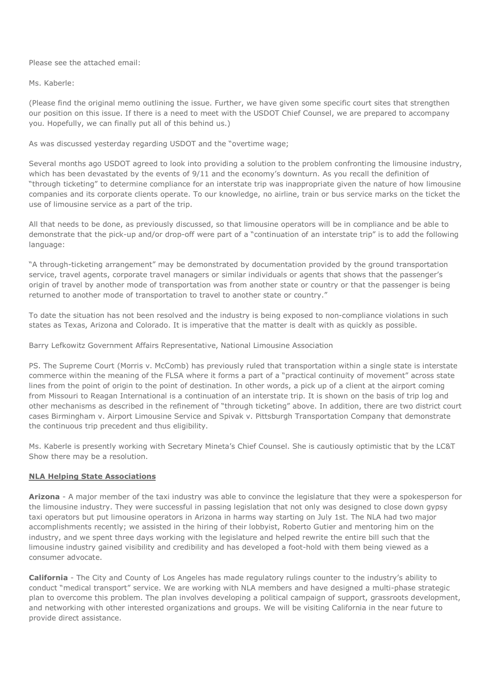Please see the attached email:

#### Ms. Kaberle:

(Please find the original memo outlining the issue. Further, we have given some specific court sites that strengthen our position on this issue. If there is a need to meet with the USDOT Chief Counsel, we are prepared to accompany you. Hopefully, we can finally put all of this behind us.)

## As was discussed yesterday regarding USDOT and the "overtime wage;

Several months ago USDOT agreed to look into providing a solution to the problem confronting the limousine industry, which has been devastated by the events of 9/11 and the economy's downturn. As you recall the definition of "through ticketing" to determine compliance for an interstate trip was inappropriate given the nature of how limousine companies and its corporate clients operate. To our knowledge, no airline, train or bus service marks on the ticket the use of limousine service as a part of the trip.

All that needs to be done, as previously discussed, so that limousine operators will be in compliance and be able to demonstrate that the pick-up and/or drop-off were part of a "continuation of an interstate trip" is to add the following language:

"A through-ticketing arrangement" may be demonstrated by documentation provided by the ground transportation service, travel agents, corporate travel managers or similar individuals or agents that shows that the passenger's origin of travel by another mode of transportation was from another state or country or that the passenger is being returned to another mode of transportation to travel to another state or country."

To date the situation has not been resolved and the industry is being exposed to non-compliance violations in such states as Texas, Arizona and Colorado. It is imperative that the matter is dealt with as quickly as possible.

Barry Lefkowitz Government Affairs Representative, National Limousine Association

PS. The Supreme Court (Morris v. McComb) has previously ruled that transportation within a single state is interstate commerce within the meaning of the FLSA where it forms a part of a "practical continuity of movement" across state lines from the point of origin to the point of destination. In other words, a pick up of a client at the airport coming from Missouri to Reagan International is a continuation of an interstate trip. It is shown on the basis of trip log and other mechanisms as described in the refinement of "through ticketing" above. In addition, there are two district court cases Birmingham v. Airport Limousine Service and Spivak v. Pittsburgh Transportation Company that demonstrate the continuous trip precedent and thus eligibility.

Ms. Kaberle is presently working with Secretary Mineta's Chief Counsel. She is cautiously optimistic that by the LC&T Show there may be a resolution.

## **NLA Helping State Associations**

**Arizona** - A major member of the taxi industry was able to convince the legislature that they were a spokesperson for the limousine industry. They were successful in passing legislation that not only was designed to close down gypsy taxi operators but put limousine operators in Arizona in harms way starting on July 1st. The NLA had two major accomplishments recently; we assisted in the hiring of their lobbyist, Roberto Gutier and mentoring him on the industry, and we spent three days working with the legislature and helped rewrite the entire bill such that the limousine industry gained visibility and credibility and has developed a foot-hold with them being viewed as a consumer advocate.

**California** - The City and County of Los Angeles has made regulatory rulings counter to the industry's ability to conduct "medical transport" service. We are working with NLA members and have designed a multi-phase strategic plan to overcome this problem. The plan involves developing a political campaign of support, grassroots development, and networking with other interested organizations and groups. We will be visiting California in the near future to provide direct assistance.